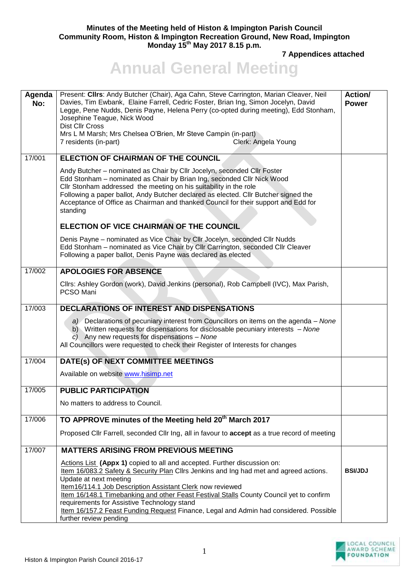## **Minutes of the Meeting held of Histon & Impington Parish Council Community Room, Histon & Impington Recreation Ground, New Road, Impington Monday 15th May 2017 8.15 p.m.**

**7 Appendices attached** 

## **Annual General Meeting**

| Agenda<br>No: | Present: Cllrs: Andy Butcher (Chair), Aga Cahn, Steve Carrington, Marian Cleaver, Neil<br>Davies, Tim Ewbank, Elaine Farrell, Cedric Foster, Brian Ing, Simon Jocelyn, David<br>Legge, Pene Nudds, Denis Payne, Helena Perry (co-opted during meeting), Edd Stonham,<br>Josephine Teague, Nick Wood<br>Dist Cllr Cross<br>Mrs L M Marsh; Mrs Chelsea O'Brien, Mr Steve Campin (in-part)<br>Clerk: Angela Young<br>7 residents (in-part)                                                      | Action/<br><b>Power</b> |
|---------------|----------------------------------------------------------------------------------------------------------------------------------------------------------------------------------------------------------------------------------------------------------------------------------------------------------------------------------------------------------------------------------------------------------------------------------------------------------------------------------------------|-------------------------|
| 17/001        | <b>ELECTION OF CHAIRMAN OF THE COUNCIL</b>                                                                                                                                                                                                                                                                                                                                                                                                                                                   |                         |
|               | Andy Butcher - nominated as Chair by Cllr Jocelyn, seconded Cllr Foster<br>Edd Stonham - nominated as Chair by Brian Ing, seconded Cllr Nick Wood<br>Cllr Stonham addressed the meeting on his suitability in the role<br>Following a paper ballot, Andy Butcher declared as elected. Cllr Butcher signed the<br>Acceptance of Office as Chairman and thanked Council for their support and Edd for<br>standing                                                                              |                         |
|               | ELECTION OF VICE CHAIRMAN OF THE COUNCIL                                                                                                                                                                                                                                                                                                                                                                                                                                                     |                         |
|               | Denis Payne - nominated as Vice Chair by Cllr Jocelyn, seconded Cllr Nudds<br>Edd Stonham - nominated as Vice Chair by Cllr Carrington, seconded Cllr Cleaver<br>Following a paper ballot, Denis Payne was declared as elected                                                                                                                                                                                                                                                               |                         |
| 17/002        | <b>APOLOGIES FOR ABSENCE</b>                                                                                                                                                                                                                                                                                                                                                                                                                                                                 |                         |
|               | Cllrs: Ashley Gordon (work), David Jenkins (personal), Rob Campbell (IVC), Max Parish,<br>PCSO Mani                                                                                                                                                                                                                                                                                                                                                                                          |                         |
| 17/003        | DECLARATIONS OF INTEREST AND DISPENSATIONS                                                                                                                                                                                                                                                                                                                                                                                                                                                   |                         |
|               | a) Declarations of pecuniary interest from Councillors on items on the agenda – None<br>b) Written requests for dispensations for disclosable pecuniary interests - None<br>c) Any new requests for dispensations - None<br>All Councillors were requested to check their Register of Interests for changes                                                                                                                                                                                  |                         |
| 17/004        | DATE(s) OF NEXT COMMITTEE MEETINGS                                                                                                                                                                                                                                                                                                                                                                                                                                                           |                         |
|               | Available on website www.hisimp.net                                                                                                                                                                                                                                                                                                                                                                                                                                                          |                         |
| 17/005        | <b>PUBLIC PARTICIPATION</b>                                                                                                                                                                                                                                                                                                                                                                                                                                                                  |                         |
|               | No matters to address to Council.                                                                                                                                                                                                                                                                                                                                                                                                                                                            |                         |
| 17/006        | TO APPROVE minutes of the Meeting held 20 <sup>th</sup> March 2017                                                                                                                                                                                                                                                                                                                                                                                                                           |                         |
|               | Proposed Cllr Farrell, seconded Cllr Ing, all in favour to accept as a true record of meeting                                                                                                                                                                                                                                                                                                                                                                                                |                         |
| 17/007        | <b>MATTERS ARISING FROM PREVIOUS MEETING</b>                                                                                                                                                                                                                                                                                                                                                                                                                                                 |                         |
|               | Actions List (Appx 1) copied to all and accepted. Further discussion on:<br>Item 16/083.2 Safety & Security Plan Cllrs Jenkins and Ing had met and agreed actions.<br>Update at next meeting<br>Item16/114.1 Job Description Assistant Clerk now reviewed<br>Item 16/148.1 Timebanking and other Feast Festival Stalls County Council yet to confirm<br>requirements for Assistive Technology stand<br>Item 16/157.2 Feast Funding Request Finance, Legal and Admin had considered. Possible | <b>BSI/JDJ</b>          |
|               | further review pending                                                                                                                                                                                                                                                                                                                                                                                                                                                                       |                         |

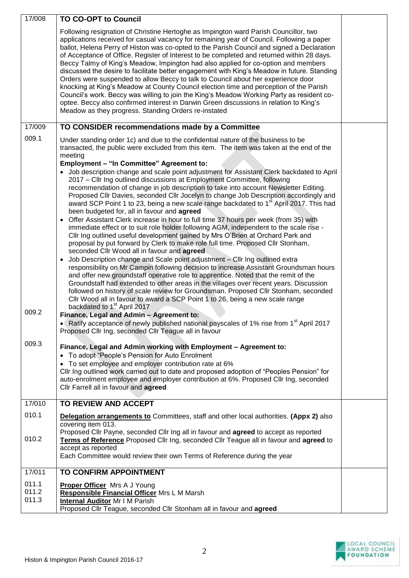| 17/008                  | <b>TO CO-OPT to Council</b>                                                                                                                                                                                                                                                                                                                                                                                                                                                                                                                                                                                                                                                                                                                                                                                                                                                                                                                                                                                                                                                                                                                                                                                                                                                                                                                                                                                                                                                                                                                                                                                                                                                                                                                                                                                                                                                                                                                                               |  |
|-------------------------|---------------------------------------------------------------------------------------------------------------------------------------------------------------------------------------------------------------------------------------------------------------------------------------------------------------------------------------------------------------------------------------------------------------------------------------------------------------------------------------------------------------------------------------------------------------------------------------------------------------------------------------------------------------------------------------------------------------------------------------------------------------------------------------------------------------------------------------------------------------------------------------------------------------------------------------------------------------------------------------------------------------------------------------------------------------------------------------------------------------------------------------------------------------------------------------------------------------------------------------------------------------------------------------------------------------------------------------------------------------------------------------------------------------------------------------------------------------------------------------------------------------------------------------------------------------------------------------------------------------------------------------------------------------------------------------------------------------------------------------------------------------------------------------------------------------------------------------------------------------------------------------------------------------------------------------------------------------------------|--|
|                         | Following resignation of Christine Hertoghe as Impington ward Parish Councillor, two<br>applications received for casual vacancy for remaining year of Council. Following a paper<br>ballot, Helena Perry of Histon was co-opted to the Parish Council and signed a Declaration<br>of Acceptance of Office. Register of Interest to be completed and returned within 28 days.<br>Beccy Talmy of King's Meadow, Impington had also applied for co-option and members<br>discussed the desire to facilitate better engagement with King's Meadow in future. Standing<br>Orders were suspended to allow Beccy to talk to Council about her experience door<br>knocking at King's Meadow at County Council election time and perception of the Parish<br>Council's work. Beccy was willing to join the King's Meadow Working Party as resident co-<br>optee. Beccy also confirmed interest in Darwin Green discussions in relation to King's<br>Meadow as they progress. Standing Orders re-instated                                                                                                                                                                                                                                                                                                                                                                                                                                                                                                                                                                                                                                                                                                                                                                                                                                                                                                                                                                          |  |
| 17/009                  | TO CONSIDER recommendations made by a Committee                                                                                                                                                                                                                                                                                                                                                                                                                                                                                                                                                                                                                                                                                                                                                                                                                                                                                                                                                                                                                                                                                                                                                                                                                                                                                                                                                                                                                                                                                                                                                                                                                                                                                                                                                                                                                                                                                                                           |  |
| 009.1<br>009.2          | Under standing order 1c) and due to the confidential nature of the business to be<br>transacted, the public were excluded from this item. The item was taken at the end of the<br>meeting<br><b>Employment - "In Committee" Agreement to:</b><br>• Job description change and scale point adjustment for Assistant Clerk backdated to April<br>2017 – Cllr Ing outlined discussions at Employment Committee, following<br>recommendation of change in job description to take into account Newsletter Editing.<br>Proposed Cllr Davies, seconded Cllr Jocelyn to change Job Description accordingly and<br>award SCP Point 1 to 23, being a new scale range backdated to 1 <sup>st</sup> April 2017. This had<br>been budgeted for, all in favour and agreed<br>• Offer Assistant Clerk increase in hour to full time 37 hours per week (from 35) with<br>immediate effect or to suit role holder following AGM, independent to the scale rise -<br>Cllr Ing outlined useful development gained by Mrs O'Brien at Orchard Park and<br>proposal by put forward by Clerk to make role full time. Proposed Cllr Stonham,<br>seconded Cllr Wood all in favour and agreed<br>Job Description change and Scale point adjustment - Cllr Ing outlined extra<br>$\bullet$<br>responsibility on Mr Campin following decision to increase Assistant Groundsman hours<br>and offer new groundstaff operative role to apprentice. Noted that the remit of the<br>Groundstaff had extended to other areas in the villages over recent years. Discussion<br>followed on history of scale review for Groundsman. Proposed Cllr Stonham, seconded<br>Cllr Wood all in favour to award a SCP Point 1 to 26, being a new scale range<br>backdated to 1 <sup>st</sup> April 2017<br>Finance, Legal and Admin - Agreement to:<br>• Ratify acceptance of newly published national payscales of 1% rise from 1 <sup>st</sup> April 2017<br>Proposed Cllr Ing, seconded Cllr Teague all in favour |  |
| 009.3                   | Finance, Legal and Admin working with Employment - Agreement to:<br>To adopt "People's Pension for Auto Enrolment<br>To set employee and employer contribution rate at 6%<br>Cllr Ing outlined work carried out to date and proposed adoption of "Peoples Pension" for<br>auto-enrolment employee and employer contribution at 6%. Proposed Cllr Ing, seconded<br>Cllr Farrell all in favour and agreed                                                                                                                                                                                                                                                                                                                                                                                                                                                                                                                                                                                                                                                                                                                                                                                                                                                                                                                                                                                                                                                                                                                                                                                                                                                                                                                                                                                                                                                                                                                                                                   |  |
| 17/010                  | TO REVIEW AND ACCEPT                                                                                                                                                                                                                                                                                                                                                                                                                                                                                                                                                                                                                                                                                                                                                                                                                                                                                                                                                                                                                                                                                                                                                                                                                                                                                                                                                                                                                                                                                                                                                                                                                                                                                                                                                                                                                                                                                                                                                      |  |
| 010.1<br>010.2          | <b>Delegation arrangements to Committees, staff and other local authorities. (Appx 2) also</b><br>covering item 013.<br>Proposed Cllr Payne, seconded Cllr Ing all in favour and agreed to accept as reported<br>Terms of Reference Proposed Cllr Ing, seconded Cllr Teague all in favour and agreed to<br>accept as reported<br>Each Committee would review their own Terms of Reference during the year                                                                                                                                                                                                                                                                                                                                                                                                                                                                                                                                                                                                                                                                                                                                                                                                                                                                                                                                                                                                                                                                                                                                                                                                                                                                                                                                                                                                                                                                                                                                                                 |  |
| 17/011                  | <b>TO CONFIRM APPOINTMENT</b>                                                                                                                                                                                                                                                                                                                                                                                                                                                                                                                                                                                                                                                                                                                                                                                                                                                                                                                                                                                                                                                                                                                                                                                                                                                                                                                                                                                                                                                                                                                                                                                                                                                                                                                                                                                                                                                                                                                                             |  |
| 011.1<br>011.2<br>011.3 | <b>Proper Officer</b> Mrs A J Young<br>Responsible Financial Officer Mrs L M Marsh<br><b>Internal Auditor Mr I M Parish</b><br>Proposed Cllr Teague, seconded Cllr Stonham all in favour and agreed                                                                                                                                                                                                                                                                                                                                                                                                                                                                                                                                                                                                                                                                                                                                                                                                                                                                                                                                                                                                                                                                                                                                                                                                                                                                                                                                                                                                                                                                                                                                                                                                                                                                                                                                                                       |  |

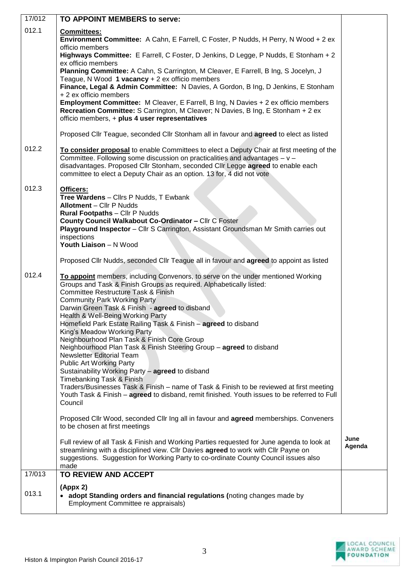| 17/012 | TO APPOINT MEMBERS to serve:                                                                                                                                                                                                                                                                                                          |        |
|--------|---------------------------------------------------------------------------------------------------------------------------------------------------------------------------------------------------------------------------------------------------------------------------------------------------------------------------------------|--------|
| 012.1  | Committees:                                                                                                                                                                                                                                                                                                                           |        |
|        | Environment Committee: A Cahn, E Farrell, C Foster, P Nudds, H Perry, N Wood + 2 ex<br>officio members                                                                                                                                                                                                                                |        |
|        | Highways Committee: E Farrell, C Foster, D Jenkins, D Legge, P Nudds, E Stonham + 2<br>ex officio members                                                                                                                                                                                                                             |        |
|        | Planning Committee: A Cahn, S Carrington, M Cleaver, E Farrell, B Ing, S Jocelyn, J                                                                                                                                                                                                                                                   |        |
|        | Teague, N Wood 1 vacancy + 2 ex officio members<br>Finance, Legal & Admin Committee: N Davies, A Gordon, B Ing, D Jenkins, E Stonham                                                                                                                                                                                                  |        |
|        | + 2 ex officio members                                                                                                                                                                                                                                                                                                                |        |
|        | <b>Employment Committee:</b> M Cleaver, E Farrell, B Ing, N Davies + 2 ex officio members<br>Recreation Committee: S Carrington, M Cleaver; N Davies, B Ing, E Stonham + 2 ex<br>officio members, + plus 4 user representatives                                                                                                       |        |
|        | Proposed Cllr Teague, seconded Cllr Stonham all in favour and agreed to elect as listed                                                                                                                                                                                                                                               |        |
| 012.2  | To consider proposal to enable Committees to elect a Deputy Chair at first meeting of the<br>Committee. Following some discussion on practicalities and advantages - v -<br>disadvantages. Proposed Cllr Stonham, seconded Cllr Legge agreed to enable each<br>committee to elect a Deputy Chair as an option. 13 for, 4 did not vote |        |
| 012.3  | Officers:                                                                                                                                                                                                                                                                                                                             |        |
|        | Tree Wardens - Cllrs P Nudds, T Ewbank<br><b>Allotment - Cllr P Nudds</b>                                                                                                                                                                                                                                                             |        |
|        | <b>Rural Footpaths - Cllr P Nudds</b>                                                                                                                                                                                                                                                                                                 |        |
|        | County Council Walkabout Co-Ordinator - Cllr C Foster<br>Playground Inspector - Cllr S Carrington, Assistant Groundsman Mr Smith carries out                                                                                                                                                                                          |        |
|        | inspections<br>Youth Liaison - N Wood                                                                                                                                                                                                                                                                                                 |        |
|        |                                                                                                                                                                                                                                                                                                                                       |        |
|        | Proposed Cllr Nudds, seconded Cllr Teague all in favour and agreed to appoint as listed                                                                                                                                                                                                                                               |        |
| 012.4  | To appoint members, including Convenors, to serve on the under mentioned Working<br>Groups and Task & Finish Groups as required. Alphabetically listed:                                                                                                                                                                               |        |
|        | <b>Committee Restructure Task &amp; Finish</b>                                                                                                                                                                                                                                                                                        |        |
|        | <b>Community Park Working Party</b><br>Darwin Green Task & Finish - agreed to disband                                                                                                                                                                                                                                                 |        |
|        | Health & Well-Being Working Party                                                                                                                                                                                                                                                                                                     |        |
|        | Homefield Park Estate Railing Task & Finish - agreed to disband<br>King's Meadow Working Party                                                                                                                                                                                                                                        |        |
|        | Neighbourhood Plan Task & Finish Core Group<br>Neighbourhood Plan Task & Finish Steering Group - agreed to disband                                                                                                                                                                                                                    |        |
|        | <b>Newsletter Editorial Team</b>                                                                                                                                                                                                                                                                                                      |        |
|        | <b>Public Art Working Party</b><br>Sustainability Working Party - agreed to disband                                                                                                                                                                                                                                                   |        |
|        | Timebanking Task & Finish                                                                                                                                                                                                                                                                                                             |        |
|        | Traders/Businesses Task & Finish - name of Task & Finish to be reviewed at first meeting<br>Youth Task & Finish - agreed to disband, remit finished. Youth issues to be referred to Full                                                                                                                                              |        |
|        | Council                                                                                                                                                                                                                                                                                                                               |        |
|        | Proposed Cllr Wood, seconded Cllr Ing all in favour and agreed memberships. Conveners<br>to be chosen at first meetings                                                                                                                                                                                                               |        |
|        |                                                                                                                                                                                                                                                                                                                                       | June   |
|        | Full review of all Task & Finish and Working Parties requested for June agenda to look at<br>streamlining with a disciplined view. Cllr Davies agreed to work with Cllr Payne on                                                                                                                                                      | Agenda |
|        | suggestions. Suggestion for Working Party to co-ordinate County Council issues also<br>made                                                                                                                                                                                                                                           |        |
| 17/013 | TO REVIEW AND ACCEPT                                                                                                                                                                                                                                                                                                                  |        |
| 013.1  | (Appx 2)                                                                                                                                                                                                                                                                                                                              |        |
|        | • adopt Standing orders and financial regulations (noting changes made by<br>Employment Committee re appraisals)                                                                                                                                                                                                                      |        |
|        |                                                                                                                                                                                                                                                                                                                                       |        |

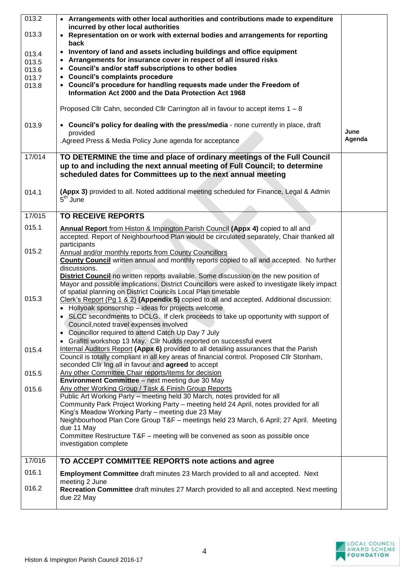| 013.2  | • Arrangements with other local authorities and contributions made to expenditure                               |        |
|--------|-----------------------------------------------------------------------------------------------------------------|--------|
|        | incurred by other local authorities                                                                             |        |
| 013.3  | Representation on or work with external bodies and arrangements for reporting<br>$\bullet$                      |        |
|        | back                                                                                                            |        |
|        |                                                                                                                 |        |
| 013.4  | Inventory of land and assets including buildings and office equipment<br>$\bullet$                              |        |
| 013.5  | Arrangements for insurance cover in respect of all insured risks<br>$\bullet$                                   |        |
| 013.6  | • Council's and/or staff subscriptions to other bodies                                                          |        |
| 013.7  | • Council's complaints procedure                                                                                |        |
| 013.8  | • Council's procedure for handling requests made under the Freedom of                                           |        |
|        | Information Act 2000 and the Data Protection Act 1968                                                           |        |
|        |                                                                                                                 |        |
|        | Proposed Cllr Cahn, seconded Cllr Carrington all in favour to accept items $1 - 8$                              |        |
|        |                                                                                                                 |        |
| 013.9  | • Council's policy for dealing with the press/media - none currently in place, draft                            |        |
|        | provided                                                                                                        | June   |
|        | Agreed Press & Media Policy June agenda for acceptance                                                          | Agenda |
|        |                                                                                                                 |        |
| 17/014 | TO DETERMINE the time and place of ordinary meetings of the Full Council                                        |        |
|        | up to and including the next annual meeting of Full Council; to determine                                       |        |
|        | scheduled dates for Committees up to the next annual meeting                                                    |        |
|        |                                                                                                                 |        |
|        |                                                                                                                 |        |
| 014.1  | (Appx 3) provided to all. Noted additional meeting scheduled for Finance, Legal & Admin<br>5 <sup>th</sup> June |        |
|        |                                                                                                                 |        |
|        |                                                                                                                 |        |
| 17/015 | <b>TO RECEIVE REPORTS</b>                                                                                       |        |
| 015.1  | <b>Annual Report</b> from Histon & Impington Parish Council (Appx 4) copied to all and                          |        |
|        | accepted. Report of Neighbourhood Plan would be circulated separately, Chair thanked all                        |        |
|        | participants                                                                                                    |        |
| 015.2  | Annual and/or monthly reports from County Councillors                                                           |        |
|        | <b>County Council</b> written annual and monthly reports copied to all and accepted. No further                 |        |
|        | discussions.                                                                                                    |        |
|        | <b>District Council</b> no written reports available. Some discussion on the new position of                    |        |
|        | Mayor and possible implications. District Councillors were asked to investigate likely impact                   |        |
|        | of spatial planning on District Councils Local Plan timetable                                                   |        |
| 015.3  | Clerk's Report (Pg 1 & 2) (Appendix 5) copied to all and accepted. Additional discussion:                       |        |
|        |                                                                                                                 |        |
|        | Hollyoak sponsorship - ideas for projects welcome                                                               |        |
|        | • SLCC secondments to DCLG. If clerk proceeds to take up opportunity with support of                            |        |
|        | Council, noted travel expenses involved                                                                         |        |
|        | Councillor required to attend Catch Up Day 7 July<br>$\bullet$                                                  |        |
|        | Grafitti workshop 13 May. Cllr Nudds reported on successful event                                               |        |
| 015.4  | Internal Auditors Report (Appx 6) provided to all detailing assurances that the Parish                          |        |
|        | Council is totally compliant in all key areas of financial control. Proposed Cllr Stonham,                      |        |
|        | seconded Cllr Ing all in favour and agreed to accept                                                            |        |
| 015.5  | Any other Committee Chair reports/items for decision                                                            |        |
|        | <b>Environment Committee</b> - next meeting due 30 May                                                          |        |
| 015.6  | Any other Working Group / Task & Finish Group Reports                                                           |        |
|        | Public Art Working Party - meeting held 30 March, notes provided for all                                        |        |
|        | Community Park Project Working Party - meeting held 24 April, notes provided for all                            |        |
|        | King's Meadow Working Party - meeting due 23 May                                                                |        |
|        | Neighbourhood Plan Core Group T&F - meetings held 23 March, 6 April; 27 April. Meeting                          |        |
|        | due 11 May                                                                                                      |        |
|        | Committee Restructure T&F - meeting will be convened as soon as possible once                                   |        |
|        | investigation complete                                                                                          |        |
|        |                                                                                                                 |        |
| 17/016 | TO ACCEPT COMMITTEE REPORTS note actions and agree                                                              |        |
| 016.1  |                                                                                                                 |        |
|        | Employment Committee draft minutes 23 March provided to all and accepted. Next                                  |        |
|        | meeting 2 June                                                                                                  |        |
| 016.2  | Recreation Committee draft minutes 27 March provided to all and accepted. Next meeting                          |        |
|        | due 22 May                                                                                                      |        |
|        |                                                                                                                 |        |